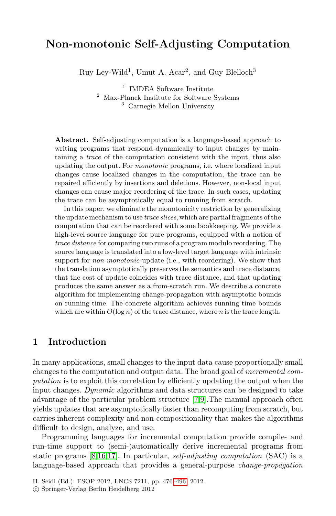# **Non-monotonic Self-Adjusting Computation**

Ruy Lev-Wild<sup>1</sup>, Umut A. Acar<sup>2</sup>, and Guy Blelloch<sup>3</sup>

<sup>1</sup> IMDEA Software Institute <sup>2</sup> Max-Planck Institute for Software Systems <sup>3</sup> Carnegie Mellon University

**Abstract.** Self-adjusting computation is a language-based approach to writing programs that respond dynamically to input changes by maintaining a *trace* of the computation consistent with the input, thus also updating the output. For *monotonic* programs, i.e. where localized input changes cause localized changes in the computation, the trace can be repaired efficiently by insertions and deletions. However, non-local input changes can cause major reordering of the trace. In such cases, updating the trace can be asymptotically equal to running from scratch.

In this paper, we eliminate the monotonicity restriction by generalizing the update mechanism to use *trace slices*, which are partial fragments of the computation that can be reordered with some bookkeeping. We provide a high-level source language for pure programs, equipped with a notion of *trace distance* for comparing two runs of a program modulo reordering. The source language is translated into a low-level target language with intrinsic support for *non-monotonic* update (i.e., with reordering). We show that the translation asymptotically preserves the semantics and trace distance, that the cost of update coincides with trace distance, and that updating produces the same answer as a from-scratch run. We describe a concrete algorithm for implementing change-propagation with asymptotic bounds on running time. The concrete algorithm achieves running time bounds which are within  $O(\log n)$  of the trace distance, where n is the trace length.

## **1 Introduction**

In many applications, small changes to the input data cause proportionally small changes to the computation and output data. The broad goal of *incremental com[put](#page-20-0)[ati](#page-20-1)on* is to exploit this correlation by efficiently updating the output when the input changes. *Dynamic* algorithms and data structures can be designed to take advantage of the particular problem structure [7,9].The manual approach often yields updates that ar[e asym](#page-20-2)ptotically faster than recomputing from scratch, but carries inherent complexity and non-compositionality that makes the algorithms difficult to design, analyze, and use.

Programming languages for incremental computation provide compile- and run-time support to (semi-)automatically derive incremental programs from static programs [8,16,17]. In particular, *self-adjusting computation* (SAC) is a language-based approach that provides a general-purpose *change-propagation*

H. Seidl (Ed.): ESOP 2012, LNCS 7211, pp. 476–496, 2012.

<sup>-</sup>c Springer-Verlag Berlin Heidelberg 2012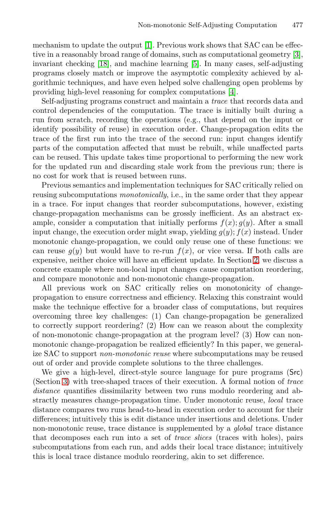mechanism to update the output [1]. Previous work shows that SAC can be effective in a reasonably broad range of domains, such as computational geometry [3], invariant checking [18], and machine learning [5]. In many cases, self-adjusting programs closely match or improve the asymptotic complexity achieved by algorithmic techniques, and have even helped solve challenging open problems by providing high-level reasoning for complex computations [4].

Self-adjusting programs construct and maintain a *trace* that records data and control dependencies of the computation. The trace is initially built during a run from scratch, recording the operations (e.g., that depend on the input or identify possibility of reuse) in execution order. Change-propagation edits the trace of the first run into the trace of the second run: input changes identify parts of the computation affected that must be rebuilt, while unaffected parts can be reused. This update takes time proportional to performing the new work for the updated run and discarding stale work from the previous run; there is no cost for work that is reused between runs.

Previous semantics and implementation tec[hn](#page-2-0)iques for SAC critically relied on reusing subcomputations *monotonically*, i.e., in the same order that they appear in a trace. For input changes that reorder subcomputations, however, existing change-propagation mechanisms can be grossly inefficient. As an abstract example, consider a computation that initially performs  $f(x)$ ;  $g(y)$ . After a small input change, the execution order might swap, yielding  $g(y)$ ;  $f(x)$  instead. Under monotonic change-propagation, we could only reuse one of these functions: we can reuse  $q(y)$  but would have to re-run  $f(x)$ , or vice versa. If both calls are expensive, neither choice will have an efficient update. In Section 2, we discuss a concrete example where non-local input changes cause computation reordering, and compare monotonic and non-monotonic change-propagation.

All previous work on SAC critically relies on monotonicity of changepropagation to ensure correctness and efficiency. Relaxing this constraint would make the technique effective for a broader class of computations, but requires overcoming three key challenges: (1) Can change-propagation be generalized to correctly support reordering? (2) How can we reason about the complexity of non-monotonic change-propagation at the program level? (3) How can nonmonotonic change-propagation be realized efficiently? In this paper, we generalize SAC to support *non-monotonic reuse* where subcomputations may be reused out of order and provide complete solutions to the three challenges.

We give a high-level, direct-style source language for pure programs (Src) (Section 3) with tree-shaped traces of their execution. A formal notion of *trace distance* quantifies dissimilarity between two runs modulo reordering and abstractly measures change-propagation time. Under monotonic reuse, *local* trace distance compares two runs head-to-head in execution order to account for their differences; intuitively this is edit distance under insertions and deletions. Under non-monotonic reuse, trace distance is supplemented by a *global* trace distance that decomposes each run into a set of *trace slices* (traces with holes), pairs subcomputations from each run, and adds their local trace distance; intuitively this is local trace distance modulo reordering, akin to set difference.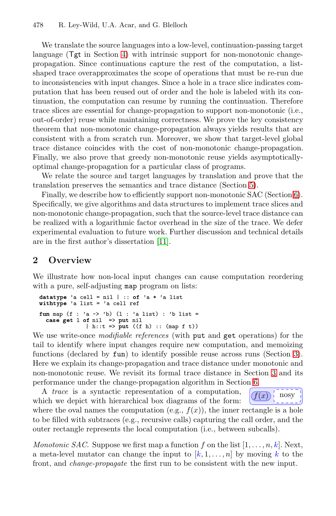We translate the source languages into a low-level, continuation-passing target language (Tgt in Section 4) with intrinsic support for non-monotonic changepropagation. Since continuations capture the rest of the computation, a listshaped trace overapproximates the scope of operations that must be re-run due to inconsistencies with input changes. Since a hole in a trace slice indicates computation that has been reused out of order and the hole is labeled with its continuation, the computation can resume by running the continuation. Therefore trace slices are essential for change-propagat[io](#page-14-0)n to support non-monotonic (i.e., out-of-order) reuse while maintaining correctness. We pro[ve](#page-15-0) the key consistency theorem that non-monotonic change-propagation always yields results that are consistent with a from scratch run. Moreover, we show that target-level global trace distance coincides with the cost of non-monotonic change-propagation. Finally, we also prove that greedy non-monotonic reuse yields asymptoticallyoptimal change-p[rop](#page-20-3)agation for a particular class of programs.

<span id="page-2-0"></span>We relate the source and target languages by translation and prove that the translation preserves the semantics and trace distance (Section 5).

Finally, we describe how to efficiently support non-monotonic SAC (Section 6). Specifically, we give algorithms and data structures to implement trace slices and non-monotonic change-propagation, such that the source-level trace distance can be realized with a logarithmic factor overhead in the size of the trace. We defer experimental evaluation to future work. Further discussion and technical details are in the first author's dissertation [11].

### **2 Overview**

We illustrate how non-local input changes can cause c[om](#page-4-0)putation reordering with a pure, self-adjusting map program on lists:

 $\text{with type } 'a \text{ list } = 'a \text{ cell ref}$  $\begin{array}{ll}\n\text{case get 1 of nil} & \text{=} & \text{put nil} \\
\text{1} & \text{1} & \text{1} \\
\text{2} & \text{1} & \text{1} \\
\end{array}$ 

We use write-once *modifiable references* (with put and get operations) for the<br>tail to identify where input changes require new computation, and memoizing tail to identify where input changes require new computation, and memoizing functions (declared by fun) to identify possible reuse across runs (Section 3). Here we explain its change-propagation and trace distance under monotonic and non-monotonic reuse. We revisit its formal trace distance in Section 3 and its performance under the change-propagation algorithm in Section 6.

A *trace* is a syntactic representation of a computation,  $(f(x))$  nosy which we depict with hierarchical box diagrams of the form: where the oval names the computation (e.g.,  $f(x)$ ), the inner rectangle is a hole to be filled with subtraces (e.g., recursive calls) capturing the call order, and the outer rectangle represents the local computation (i.e., between subcalls).

*Monotonic SAC.* Suppose we first map a function f on the list  $[1, \ldots, n, k]$ . Next, a meta-level mutator can change the input to  $[k, 1, \ldots, n]$  by moving k to the front, and *change-propagate* the first run to be consistent with the new input.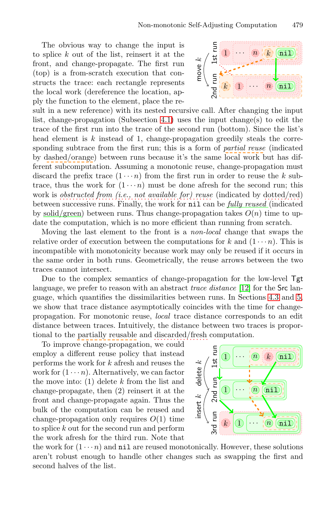The obvious w[ay t](#page-10-0)o change the input is to splice  $k$  out of the list, reinsert it at the front, and change-propagate. The first run (top) is a from-scratch execution that constructs the trace: each rectangle represents the local work (dereference the location, apply the function to the element, place the re-



sult in a new reference) with its nested recursive call. After changing the input list, change-propagation (Subsection 4.1) uses the input change(s) to edit the trace of the first run into the trace of the second run (bottom). Since the list's head element is  $k$  instead of 1, change-propagation greedily steals the corresponding subtrace from the first run; this is a form of *partial reuse* (indicated by dashed/orange) between runs because it's the same local work but has different subcomputation. Assuming a monotonic reuse, change-propagation must discard the prefix trace  $(1 \cdots n)$  from the first run in order to reuse the k subtrace, thus the work for  $(1 \cdots n)$  must be done afresh for the second run; this work is *obstructed from (i.e., not available for) reuse* (indicated by dotted/red) between successive runs. Finally, the work for nil can be *fully reused* (indicated by solid/green) between runs. Thus chan[ge-p](#page-20-4)ropagation takes  $O(n)$  time to update the computation, which is no more efficient t[han](#page-12-0) run[nin](#page-14-0)g from scratch.

Moving the last element to the front is a *non-local* change that swaps the relative order of execution between the computations for k and  $(1 \cdots n)$ . This is incompatible with monotonicity because work may only be reused if it occurs in the same order in both runs. Geometrically, the reuse arrows between the two traces cannot intersect.

Due to the complex semantics of change-propagation for the low-level Tgt language, we prefer to reason with an abstract *trace distance* [12] for the Src language, which quantifies the dissimilarities between runs. In Sections 4.3 and 5, we show that trace distance asymptotically coincides with the time for changepropagation. For monotonic reuse, *local* trace distance corresponds to an edit distance between traces. Intuitively, the distance between two traces is proportional to the **partially reusable** and discarded/fresh computation.

To improve change-propagation, we could employ a different reuse policy that instead performs the work for k afresh and reuses the work for  $(1 \cdots n)$ . Alternatively, we can factor the move into:  $(1)$  delete k from the list and change-propagate, then (2) reinsert it at the front and change-propagate again. Thus the bulk of the computation can be reused and change-propagation only requires  $O(1)$  time to splice k out for the second run and perform the work afresh for the third run. Note that



the work for  $(1 \cdots n)$  and nil are reused monotonically. However, these solutions aren't robust enough to handle other changes such as swapping the first and second halves of the list.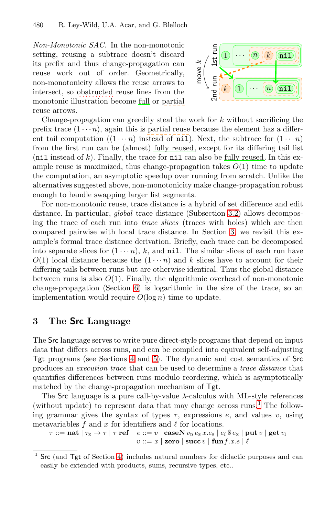*Non-Monotonic SAC.* In the non-monotonic setting, reusing a subtrace doesn't discard its prefix and thus change-propagation can reuse work out of order. Geometrically, non-monotonicity allows the reuse arrows to intersect, so obstructed reuse lines from the monotonic illustration become full or partial reuse arrows.



Change-propagation can greedily steal the work for  $k$  without sacrificing the prefix trace  $(1 \cdots n)$ , again this is partial reuse because the element has a different tail computation  $((1 \cdots n)$  instea[d of](#page-6-0) nil). Next, the subtrace for  $(1 \cdots n)$ from the first run can be (almost) fully reused, except for its differing tail list (nil instead of  $k$ ). Finally, the t[r](#page-4-0)ace for nil can also be fully reused. In this example reuse is maximized, thus change-propagation takes  $O(1)$  time to update the computation, an asymptotic speedup over running from scratch. Unlike the alternatives suggested above, non-monotonicity make change-propagation robust enough to handle swapping larger list segments.

<span id="page-4-0"></span>For non-monotonic reuse, trace distance is a hybrid of set difference and edit distance. I[n](#page-15-0) particular, *global* trace distance (Subsection 3.2) allows decomposing the trace of each run into *trace slices* (traces with holes) which are then compared pairwise with local trace distance. In Section 3, we revisit this example's formal trace distance derivation. Briefly, each trace can be decomposed into separate slices for  $(1 \cdots n)$ , k, and nil. The similar slices of each run have  $O(1)$  local distance because the  $(1 \cdots n)$  and k slices have to account for their differing tails between runs but are otherwise identical. Thus the global distance between runs is also  $O(1)$ . Finally, the algorithmic overhead of non-monotonic change-p[rop](#page-9-0)aga[tio](#page-14-0)n (Section 6) is logarithmic in the size of the trace, so an implementation would require  $O(\log n)$  time to update.

# **3 The Src Language**

The Src language serves to write pure direct-sty[le](#page-4-1) programs that depend on input data that differs across runs, and can be compiled into equivalent self-adjusting Tgt programs (see Sections 4 and 5). The dynamic and cost semantics of Src produces an *execution trace* that can be used to determine a *trace distance* that quantifies differences between runs modulo reordering, which is asymptotically matc[hed](#page-9-0) by the change-propagation mechanism of Tgt.

<span id="page-4-1"></span>The Src language is a pure call-by-value  $\lambda$ -calculus with ML-style references (without update) to represent data that may change across runs.<sup>1</sup> The following grammar gives the syntax of types  $\tau$ , expressions e, and values v, using metavariables f and x for identifiers and  $\ell$  for locations.

 $\tau ::= \textbf{nat} | \tau_x \to \tau | \tau \textbf{ ref} \quad e ::= v | \textbf{caseN} \, v_n \, e_z \, x.e_s | e_f \, \text{\$e}_x | \textbf{put} \, v | \textbf{get} \, v_1$  $v ::= x \mid \textbf{zero} \mid \textbf{succ} \, v \mid \textbf{fun} \, f.x.e \mid \ell$ 

<sup>1</sup> Src (and Tgt of Section 4) includes natural numbers for didactic purposes and can easily be extended with products, sums, recursive types, etc..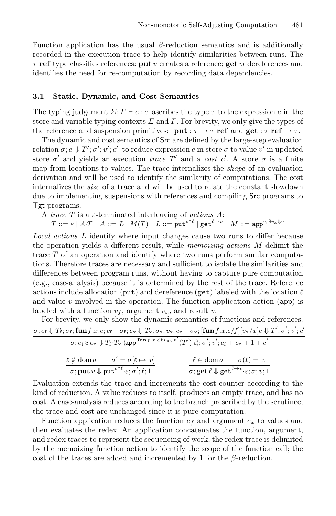Function application has the usual  $\beta$ -reduction semantics and is additionally recorded in the execution trace to help identify similarities between runs. The  $\tau$  **ref** type classifies references: **put** v creates a reference; **get**  $v_l$  dereferences and identifies the need for re-computation by recording data dependencies.

### **3.1 Static, Dynamic, and Cost Semantics**

The typing judgement  $\Sigma; \Gamma \vdash e : \tau$  ascribes the type  $\tau$  to the expression e in the store and variable typing contexts  $\Sigma$  and  $\Gamma$ . For brevity, we only give the types of the reference and suspension primitives:  $\mathbf{put}: \tau \to \tau \mathbf{ref}$  and  $\mathbf{get}: \tau \mathbf{ref} \to \tau$ .

The dynamic and cost semantics of Src are defined by the large-step evaluation relation  $\sigma$ ;  $e \Downarrow T'$ ;  $\sigma'$ ;  $v'$ ;  $c'$  to reduce expression e in store  $\sigma$  to value v' in updated store  $\sigma'$  and yields an execution *trace* T' and a *cost* c'. A store  $\sigma$  is a finite map from locations to values. The trace internalizes the *shape* of an evaluation derivation and will be used to identify the similarity of computations. The cost internalizes the *size* of a trace and will be used to relate the constant slowdown due to implementing suspensions with references and compiling Src programs to Tgt programs.

- A *trace*  $T$  is a  $\varepsilon$ -terminated interleaving of *actions*  $A$ :
- $T::=\varepsilon\mid A\!\cdot\! T \mid \, A::=L\mid M(T) \mid \, L::= \text{put}^{v \uparrow \ell} \mid \text{get}^{\ell \rightarrow v} \mid \, M::= \text{app}^{v_{\text{f}}\$v_{\text{x}} \Downarrow v}$

*Local actions* L identify where input changes cause two runs to differ because the operation yields a different result, while *memoizing actions* M delimit the trace T of an operation and identify where two runs perform similar computations. Therefore traces are necessary and sufficient to isolate the similarities and differences between program runs, without having to capture pure computation (e.g., case-analysis) because it is determined by the rest of the trace. Reference actions include allocation (put) and dereference (get) labeled with the location  $\ell$ and value v involved in the operation. The function application action (app) is labeled with a function  $v_f$ , argument  $v_x$ , and result v.

For brevity, we only show the dynamic semantics of functions and references.  $\mathbf{r}$  is  $\mathbf{r}$ 

$$
\sigma; e_{\rm f} \Downarrow T_{\rm f}; \sigma_{\rm f}; \text{fun } f.x.e; c_{\rm f} \quad \sigma_{\rm f}; e_{\rm x} \Downarrow T_{\rm x}; \sigma_{\rm x}; v_{\rm x}; c_{\rm x} \quad \sigma_{\rm x}; [\text{fun } f.x.e/f][v_{\rm x}/x]e \Downarrow T'; \sigma'; v'; c'
$$
\n
$$
\sigma; e_{\rm f} \& e_{\rm x} \Downarrow T_{\rm f}.T_{\rm x}.(\text{app}^{(\text{fun } f.x.e)\text{S}v_{\rm x} \Downarrow v'}(T') \cdot \varepsilon); \sigma'; v'; c_{\rm f} + c_{\rm x} + 1 + c'
$$
\n
$$
\ell \notin \text{dom } \sigma \qquad \sigma' = \sigma[\ell \mapsto v]
$$
\n
$$
\sigma; \text{put } v \Downarrow \text{put } v^{\uparrow \ell} \cdot \varepsilon; \sigma'; \ell; 1
$$
\n
$$
\sigma; \text{get } \ell \Downarrow \text{get}^{\ell \to v} \cdot \varepsilon; \sigma; v; 1
$$

Evaluation extends the trace and increments the cost counter according to the kind of reduction. A value reduces to itself, produces an empty trace, and has no cost. A case-analysis reduces according to the branch prescribed by the scrutinee; the trace and cost are unchanged since it is pure computation.

Function application reduces the function  $e_f$  and argument  $e_x$  to values and then evaluates the redex. An application concatenates the function, argument, and redex traces to represent the sequencing of work; the redex trace is delimited by the memoizing function action to identify the scope of the function call; the cost of the traces are added and incremented by 1 for the  $\beta$ -reduction.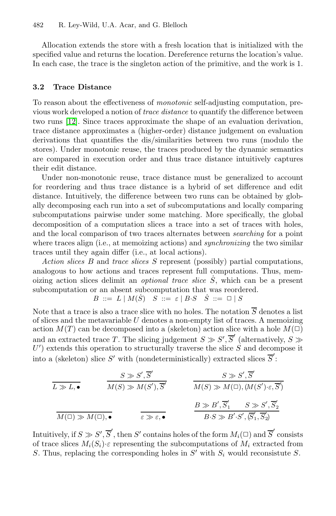<span id="page-6-0"></span>Allocation extends the store with a fresh location that is initialized with the specified value and returns the location. Dereference returns the location's value. In each case, the trace is the singleton action of the primitive, and the work is 1.

# **3.2 Trace Distance**

To reason about the effectiveness of *monotonic* self-adjusting computation, previous work developed a notion of *trace distance* to quantify the difference between two runs [12]. Since traces approximate the shape of an evaluation derivation, trace distance approximates a (higher-order) distance judgement on evaluation derivations that quantifies the dis/similarities between two runs (modulo the stores). Under monotonic reuse, the traces produced by the dynamic semantics are compared in execution order and thus trace distance intuitively captures their edit distance.

Under non-monotonic reuse, trace distance must be generalized to account for reordering and thus trace distance is a hybrid of set difference and edit distance. Intuitively, the difference between two runs can be obtained by globally decomposing each run into a set of subcomputations and locally comparing subcomputations pairwise under some matching. More specifically, the global decomposition of a computation slices a trace into a set of traces with holes, and the local comparison of two traces alternates between *searching* for a point where traces align (i.e., at memoizing actions) and *synchronizing* the two similar traces until they again differ (i.e., at local actions).

*Action slices* B and *trace slices* S represent (possibly) partial computations, analogous to how actions and traces represent full computations. Thus, memoizing action slices delimit an *optional trace slice*  $\hat{S}$ , which can be a present subcomputation or an absent subcomputation that was reordered.

$$
B \ ::= \ L \ | \ M(\dot{S}) \quad S \ ::= \ \varepsilon \ | \ B \cdot S \quad \dot{S} \ ::= \ \Box \ | \ S
$$

Note that a trace is also a trace slice with no holes. The notation  $\overline{S}$  denotes a list of slices and the metavariable  $U$  denotes a non-empty list of traces. A memoizing action  $M(T)$  can be decomposed into a (skeleton) action slice with a hole  $M(\square)$ and an extracted trace T. The slicing judgement  $S \gg S', \overline{S}'$  (alternatively,  $S \gg$  $U'$  extends this operation to structurally traverse the slice S and decompose it into a (skeleton) slice  $S'$  with (nondeterministically) extracted slices  $\overline{S}'$ :

$$
\frac{S \gg S', \overline{S}'}{M(S) \gg M(S'), \overline{S}'} \qquad \frac{S \gg S', \overline{S}'}{M(S) \gg M(\Box), (M(S') \cdot \varepsilon, \overline{S}')}
$$
\n
$$
\frac{B \gg B', \overline{S}'_1 \qquad S \gg S', \overline{S}'_2}{B \cdot S \gg B', \overline{S}'_1, \overline{S}'_2}
$$

Intuitively, if  $S \gg S', \overline{S}'$ , then S' contains holes of the form  $M_i(\Box)$  and  $\overline{S}'$  consists of trace slices  $M_i(S_i)$ ·ε representing the subcomputations of  $M_i$  extracted from S. Thus, replacing the corresponding holes in  $S'$  with  $S_i$  would reconsistute S.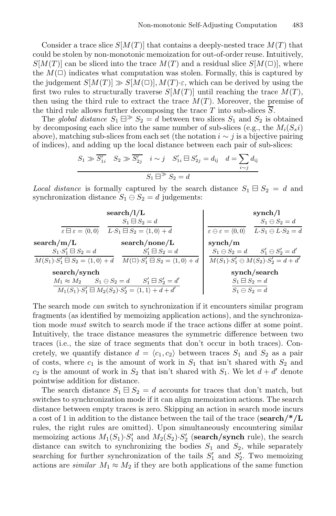Consider a trace slice  $S[M(T)]$  that contains a deeply-nested trace  $M(T)$  that could be stolen by non-monotonic memoization for out-of-order reuse. Intuitively,  $S[M(T)]$  can be sliced into the trace  $M(T)$  and a residual slice  $S[M(\square)]$ , where the  $M(\square)$  indicates what computation was stolen. Formally, this is captured by the judgement  $S[M(T)] \gg S[M(\Box)], M(T) \cdot \varepsilon$ , which can be derived by using the first two rules to structurally traverse  $S[M(T)]$  until reaching the trace  $M(T)$ , then using the third rule to extract the trace  $M(T)$ . Moreover, the premise of the third rule allows further decomposing the trace T into sub-slices  $\overline{S}$ .

The *global distance*  $S_1 \boxminus S_2 = d$  between two slices  $S_1$  and  $S_2$  is obtained by decomposing each slice into the same number of sub-slices (e.g., the  $M_i(S_s i)$ ) above), matching sub-slices from each set (the notation  $i \sim j$  is a bijective pairing of indices), and adding up the local distance between each pair of sub-slices:

$$
S_1 \gg \overline{S'_{1i}} \quad S_2 \gg \overline{S'_{2j}} \quad i \sim j \quad S'_{1i} \boxminus S'_{2j} = d_{ij} \quad d = \sum_{i \sim j} d_{ij}
$$

$$
S_1 \boxminus^{\gg} S_2 = d
$$

*Local distance* is formally captured by the search distance  $S_1 \boxminus S_2 = d$  and synchronization distance  $S_1 \ominus S_2 = d$  judgements:

| search/l/L                                                                          |                                                                                                                                   | synch/l                                                  |                                                       |
|-------------------------------------------------------------------------------------|-----------------------------------------------------------------------------------------------------------------------------------|----------------------------------------------------------|-------------------------------------------------------|
|                                                                                     | $S_1 \boxminus S_2 = d$                                                                                                           |                                                          | $S_1 \ominus S_2 = d$                                 |
|                                                                                     | $\varepsilon \boxminus \varepsilon = \langle 0, 0 \rangle$ $L \cdot S_1 \boxminus S_2 = \langle 1, 0 \rangle + d$                 | $\varepsilon \ominus \varepsilon = \langle 0, 0 \rangle$ | $L \cdot S_1 \ominus L \cdot S_2 = d$                 |
| search/m/L                                                                          | search/none/L                                                                                                                     | synch/m                                                  |                                                       |
| $S_1 \cdot S_1' \boxminus S_2 = d$                                                  | $S'_1 \boxminus S_2 = d$                                                                                                          | $S_1 \ominus S_2 = d$                                    | $S'_1 \ominus S'_2 = d'$                              |
|                                                                                     | $M(S_1) \cdot S'_1 \boxminus S_2 = \langle 1, 0 \rangle + d \quad M(\square) \cdot S'_1 \boxminus S_2 = \langle 1, 0 \rangle + d$ |                                                          | $M(S_1) \cdot S'_1 \oplus M(S_2) \cdot S'_2 = d + d'$ |
| search/synch                                                                        |                                                                                                                                   | synch/search                                             |                                                       |
| $M_1 \approx M_2$ $S_1 \oplus S_2 = d$                                              | $S'_1 \boxminus S'_2 = d'$                                                                                                        | $S_1 \boxminus S_2 = d$                                  |                                                       |
| $M_1(S_1) \cdot S_1' \boxminus M_2(S_2) \cdot S_2' = \langle 1, 1 \rangle + d + d'$ |                                                                                                                                   | $S_1 \ominus S_2 = d$                                    |                                                       |

The search mode *can* switch to synchronization if it encounters similar program fragments (as identified by memoizing application actions), and the synchronization mode *must* switch to search mode if the trace actions differ at some point. Intuitively, the trace distance measures the symmetric difference between two traces (i.e., the size of trace segments that don't occur in both traces). Concretely, we quantify distance  $d = \langle c_1, c_2 \rangle$  between traces  $S_1$  and  $S_2$  as a pair of costs, where  $c_1$  is the amount of work in  $S_1$  that isn't shared with  $S_2$  and  $c_2$  is the amount of work in  $S_2$  that isn't shared with  $S_1$ . We let  $d + d'$  denote pointwise addition for distance.

The search distance  $S_1 \boxminus S_2 = d$  accounts for traces that don't match, but switches to synchronization mode if it can align memoization actions. The search distance between empty traces is zero. Skipping an action in search mode incurs a cost of 1 in addition to the distance between the tail of the trace (**search/\*/L** rules, the right rules are omitted). Upon simultaneously encountering similar memoizing actions  $M_1(S_1) \cdot S_1'$  and  $M_2(S_2) \cdot S_2'$  (**search/synch** rule), the search distance can switch to synchronizing the bodies  $S_1$  and  $S_2$ , while separately searching for further synchronization of the tails  $S'_1$  and  $S'_2$ . Two memoizing actions are *similar*  $M_1 \approx M_2$  if they are both applications of the same function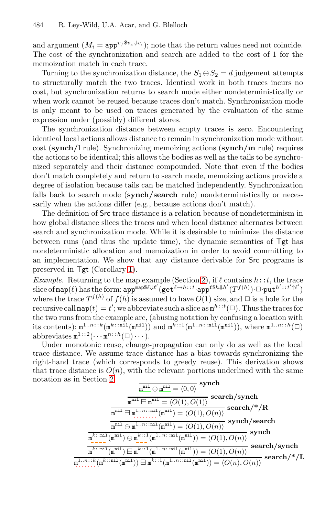and argument  $(M_i = \text{app}^{v_f \$v_x \Downarrow v_i})$ ; note that the return values need not coincide. The cost of the synchronization and search are added to the cost of 1 for the memoization match in each trace.

Turning to the synchronization distance, the  $S_1 \ominus S_2 = d$  judgement attempts to structurally match the two traces. Identical work in both traces incurs no cost, but synchronization returns to search mode either nondeterministically or when work cannot be reused because traces don't match. Synchronization mode is only meant to be used on traces generated by the evaluation of the same expression under (possibly) different stores.

The synchronization distance between empty traces is zero. Encountering identical local actions allows distance to remain in synchronization mode without cost (**synch/l** rule). Synchronizing memoizing actions (**synch/m** rule) requires the actions to be identical; this allows the bodies as well as the tails to be synchronized separately and their distance compounded. Note that even if the bodies don't match completely and return to search mode, memoizing actions provide a degree of isolation because tails can be matched independently. Synchronization falls bac[k t](#page-15-1)o search mode (**synch/search** rule) nondeterministically or necessarily when the actions differ [\(e.](#page-2-0)g., because actions don't match).

The definition of Src trace distance is a relation because of nondeterminism in how global distance slices the traces and when local distance alternates between search and synchronization mode. While it is desirable to minimize the distance between runs (and thus the update time), the dynamic semantics of Tgt has nondeterministic allocation and memoization in order to avoid committing to an implementation. We show that any distance derivable for Src programs is preserved in Tgt (Corollary 1).

*Example.* Returning to the map example (Section 2), if  $\ell$  contains  $h: :t$ , the trace slice of  $\text{map}(\ell)$  has the form:  $\text{app}^{\text{map}\ell}(\ell'(\text{get}^{\ell \rightarrow h::t} \cdot \text{app}^{\text{f}\$h\!\downarrow h'}(T^{f(h)}) \cdot \Box \cdot \text{put}^{h'::t'\uparrow \ell'})$ <br>where the trace  $T^{f(h)}$  of  $f(h)$  is assumed to have  $O(1)$  size, and  $\Box$  is a hole for the where the trace  $T^{f(h)}$  of  $f(h)$  is assumed to have  $O(1)$  size, and  $\Box$  is a hole for the rec[ur](#page-2-0)sive call  $\texttt{map}(t) = t'$ ; we abbreviate such a slice as  $\texttt{m}^{h::t}(\Box)$ . Thus the traces for<br>the two runs from the example are (abusing notation by confusing a location with the two runs from the example are, (abusing notation by confusing a location with its contents):  $m^{1..n::k}$ ( $m^{k::n1}(m^{n1})$ ) and  $m^{k::1}(m^{1..n::n1}(m^{n1}))$ , where  $m^{1..n::h}(\Box)$ abbreviates  $m^{1::2}(\cdots m^{n::h}(\square)\cdots)$ .

Under monotonic reuse, change-propagation can only do as well as the local trace distance. We assume trace distance has a bias towards synchronizing the right-hand trace (which corresponds to greedy reuse). This derivation shows that trace distance is  $O(n)$ , with the relevant portions underlined with the same notation as in Section 2:

$$
\frac{\overline{\mathbf{m}}^{\text{nil}}\ominus\mathbf{m}^{\text{nil}}=\langle 0,0\rangle}{\overline{\mathbf{m}}^{\text{nil}}\boxminus\mathbf{m}^{\text{nil}}=\langle 0,0\rangle}\text{ such/synch}\\ \frac{\overline{\mathbf{m}}^{\text{nil}}\boxminus\mathbf{m}^{\text{nil}}=\langle O(1),O(1)\rangle}{\overline{\mathbf{m}}^{\text{nil}}\boxminus\mathbf{m}^{\text{nil}}\cdots\cdots\left(\mathbf{m}^{\text{nil}}\right)=\langle O(1),O(n)\rangle}\text{ search/*/R}\\ \frac{\overline{\mathbf{m}}^{\text{nil}}\boxminus\mathbf{m}^{\text{nil}}\cdots\cdots\left(\mathbf{m}^{\text{nil}}\right)=\langle O(1),O(n)\rangle}{\overline{\mathbf{m}}^{\text{k}:\text{nil}}(\mathbf{m}^{\text{nil}})\ominus\mathbf{m}^{k}:\mathbf{l}\left(\mathbf{m}^{\text{...},\text{nil}}(\mathbf{m}^{\text{nil}})\right)=\langle O(1),O(n)\rangle}\text{ synch}\\ \frac{\overline{\mathbf{m}}^{\text{k}:\text{nil}}_{\text{...}}(\mathbf{m}^{\text{nil}})\ominus\mathbf{m}^{k}:\mathbf{l}\left(\mathbf{m}^{\text{...},\text{nil}}(\mathbf{m}^{\text{nil}})\right)=\langle O(1),O(n)\rangle}{\overline{\mathbf{m}}^{k}:\text{nil}(\mathbf{m}^{\text{nil}})\boxminus\mathbf{m}^{k}:\mathbf{l}\left(\mathbf{m}^{\text{...},\text{nil}}(\mathbf{m}^{\text{nil}})\right)=\langle O(1),O(n)\rangle}\text{ search/synch}\\ \frac{\overline{\mathbf{m}}^{\text{l}:\text{...}}(\mathbf{m}^{\text{...}}\mathbf{m}^{\text{...}}\left(\mathbf{m}^{\text{...}},\mathbf{m}^{\text{...}}\right)\oplus\mathbf{m}^{k}:\mathbf{l}\left(\mathbf{m}^{\text{...},\text{nil}}(\mathbf{m}^{\text{...}})\right)=\langle O(1),O(n)\rangle}{\langle O(n),O(n)\rangle}\text{ search}/\gamma/\mathbf{L}
$$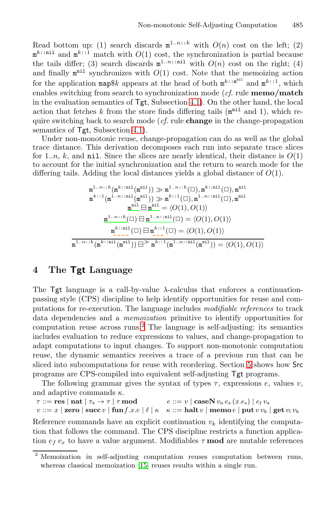Read bottom up: (1) search discards  $m^{1..n::k}$  with  $O(n)$  cost on the left; (2)  $\mathbf{m}^{k::nil}$  $\mathbf{m}^{k::nil}$  $\mathbf{m}^{k::nil}$  and  $\mathbf{m}^{k::1}$  match with  $O(1)$  cost, the synchronization is partial because the tails differ; (3) search discards  $m^{1...n}$ :  $m^{11}$  with  $O(n)$  cost on the right; (4) and finally  $m^{n+1}$  synchronizes with  $O(1)$  cost. Note that the memoizing action and finally  $\mathbb{R}^{n+1}$  synchronizes with  $O(1)$  cost. Note that the memoizing action<br>for the application  $\mathbb{R}^{n}$  and  $\mathbb{R}^{n+1}$  and  $\mathbb{R}^{n+1}$  and  $\mathbb{R}^{n+1}$  and  $\mathbb{R}^{n+1}$  and  $\mathbb{R}^{n+1}$ for the application map\$k appears at the head of both  $m^{k}$ : $m^{n}$  and  $m^{k}$ : $1$ , which enables switching from search to synchronization mode (*cf.* rule **memo/match** in the evaluation semantics of Tgt, Subsection 4.1). On the other hand, the local action that fetches k from the store finds differing tails  $(m^{n1}$  and 1), which require switching back to search mode (*cf.* rule **change** in the change-propagation semantics of Tgt, Subsection 4.1).

<span id="page-9-0"></span>Under non-monotonic reuse, change-propagation can do as well as the global trace distance. This derivation decomposes each run into separate trace slices for 1..*n*, k, and nil. Since the slices are nearly identical, their distance is  $O(1)$ to account for the initial synchronization and the return to search mode for the differing tails. Adding the local distances yields a global distance of  $O(1)$ .

$$
\begin{split} &\underset{\mathbf{m}^{1...n::k}(\mathbf{m}^{k: \text{nil}}(\mathbf{m}^{\text{nil}})) \gg \mathbf{m}^{1...n::k}(\square), \mathbf{m}^{k: \text{nil}}(\square), \mathbf{m}^{\text{nil}} \\ &\underset{\mathbf{m}^{k::1}(\mathbf{m}^{1...n:\text{nil}}(\mathbf{m}^{\text{nil}})) \gg \mathbf{m}^{k::1}(\square), \mathbf{m}^{1...n:\text{nil}}(\square), \mathbf{m}^{\text{nil}} \\ &\underset{\mathbf{m}^{11}}{\underbrace{\mathbf{m}^{11}}}\boxminus \underbrace{\mathbf{m}^{n1}}=\langle O(1), O(1) \rangle \\ &\underset{\mathbf{m}^{k:\text{nil}}(\square) \boxminus \mathbf{m}^{k::1}(\square) = \langle O(1), O(1) \rangle }{\underbrace{\mathbf{m}^{k:\text{nil}}(\square) \boxminus \mathbf{m}^{k:\text{nil}}(\square) = \langle O(1), O(1) \rangle}} \\ &\underset{\mathbf{m}^{1...n::k}(\mathbf{m}^{k:\text{nil}}(\mathbf{m}^{\text{nil}})) \boxminus \mathbf{m}^{k:\text{nil}}(\mathbf{m}^{1...n:\text{nil}}(\mathbf{m}^{\text{nil}})) = \langle O(1), O(1) \rangle} \end{split}
$$

# **4 The Tgt Language**

The Tgt language is a call-by-value  $\lambda$ -cal[cu](#page-14-0)lus that enforces a continuationpassing style (CPS) discipline to help identify opportunities for reuse and computations for re-execution. The language includes *modifiable references* to track data dependencies and a *memoization* primitive to identify opportunities for computation reuse across runs.<sup>2</sup> The language is self-adjusting: its semantics includes evaluation to reduce expressions to values, and change-propagation to adapt computations to input changes. To support non-monotonic computation reuse, the dynamic semantics receives a trace of a previous run that can be sliced into subcomputations for reuse with reordering. Section 5 shows how Src programs are CPS-compiled into equivalent self-adjusting Tgt programs.

The following grammar gives the syntax of types  $\tau$ , expressions e, values v, and adaptiv[e co](#page-20-5)mmands  $\kappa$ .

 $\tau ::= \text{res} \mid \text{nat} \mid \tau_x \to \tau \mid \tau \text{ mod}$   $e ::= v \mid \text{caseN} \, v_n \, e_z \, (x.e_s) \mid e_f \, v_x$ 

 $v ::= x \mid \textbf{zero} \mid \textbf{succ} \, v \mid \textbf{fun} \, f.x.e \mid \ell \mid \kappa \quad \kappa ::= \textbf{halt} \, v \mid \textbf{memo} \, e \mid \textbf{put} \, v \, v_k \mid \textbf{get} \, v_l \, v_k$ 

Reference commands have an explicit continuation  $v_k$  identifying the computation that follows the command. The CPS discipline restricts a function application  $e_f v_x$  to have a value argument. Modifiables  $\tau$  **mod** are mutable references

<sup>2</sup> Memoization in self-adjusting computation reuses computation between runs, whereas classical memoization [15] reuses results within a single run.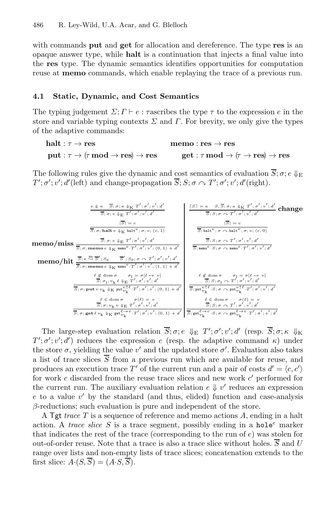with commands **put** and **get** for allocation and dereference. The type **res** is an opaque answer type, while **halt** is a continuation that injects a final value into the **res** type. The dynamic semantics identifies opportunities for computation reuse at **memo** commands, which enable replaying the trace of a previous run.

### <span id="page-10-0"></span>**4.1 Static, Dynamic, and Cost Semantics**

The typing judgement  $\Sigma; \Gamma \vdash e : \tau$  ascribes the type  $\tau$  to the expression e in the store and variable typing contexts  $\Sigma$  and  $\Gamma$ . For brevity, we only give the types of the adaptive commands:

**halt** :  $\tau \to \text{res}$  memo : **res**  $\to \text{res}$  $\textbf{put}: \tau \to (\tau \mod \rightarrow \textbf{res}) \to \textbf{res}$  get :  $\tau \mod \rightarrow (\tau \to \textbf{res}) \to \textbf{res}$ 

The following rules give the dynamic and cost semantics of evaluation  $\overline{S}$ ;  $\sigma$ ;  $e \Downarrow_{\mathbb{E}}$  $T'; \sigma'; v'; d'$ (left) and change-propagation  $\overline{S}; S; \sigma \curvearrowright T'; \sigma'; v'; d'$ (right).



The large-step evaluation relation  $S; \sigma; e \Downarrow_{\mathbb{E}} T'; \sigma'; v'; d'$  (resp.  $S; \sigma; \kappa \Downarrow_{\mathbb{K}}$  $T'; \sigma'; v'; d'$  reduces the expression e (resp. the adaptive command  $\kappa$ ) under the store  $\sigma$ , yielding the value  $v'$  and the updated store  $\sigma'$ . Evaluation also takes a list of trace slices  $\overline{S}$  from a previous run which are available for reuse, and produces an execution trace T' of the current run and a pair of costs  $d' = \langle c, c' \rangle$ for work  $c$  discarded from the reuse trace slices and new work  $c'$  performed for the current run. The auxiliary evaluation relation  $e \Downarrow v'$  reduces an expression  $e$  to a value  $v'$  by the standard (and thus, elided) function and case-analysis  $\beta$ -reductions; such evaluation is pure and independent of the store.

A Tgt *trace* T is a sequence of reference and memo actions A, ending in a halt action. A *trace slice*  $S$  is a trace segment, possibly ending in a hole<sup>e</sup> marker that indicates the rest of the trace (corresponding to the run of  $e$ ) was stolen for out-of-order reuse. Note that a trace is also a trace slice without holes.  $\overline{S}$  and  $U$ range over lists and non-empty lists of trace slices; concatenation extends to the first slice:  $A (S, S) = (A S, S)$ .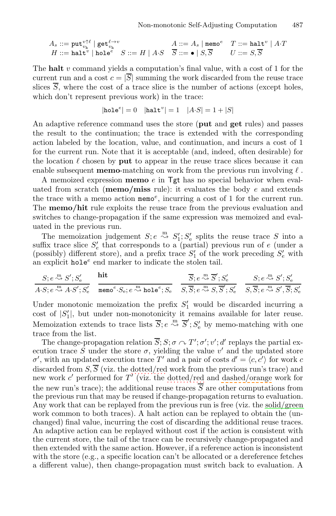$$
A_s ::= \text{put}_{v_{k}}^{\text{v} \uparrow \ell} | \text{get}_{v_{k}}^{\ell \to v} \qquad A ::= A_s | \text{ memo}^e \quad T ::= \text{halt}^v | A \cdot T
$$
  

$$
H ::= \text{halt}^v | \text{hole}^e \quad S ::= H | A \cdot S \quad \overline{S} ::= \bullet | S, \overline{S} \qquad U ::= S, \overline{S}
$$

The **halt** v command yields a computation's final value, with a cost of 1 for the current run and a cost  $c = |\overline{S}|$  summing the work discarded from the reuse trace slices  $\overline{S}$ , where the cost of a trace slice is the number of actions (except holes, which don't represent previous work) in the trace:

$$
|\text{hole}^e| = 0
$$
  $|\text{halt}^v| = 1$   $|A \cdot S| = 1 + |S|$ 

An adaptive reference command uses the store (**put** and **get** rules) and passes the result to the continuation; the trace is extended with the corresponding action labeled by the location, value, and continuation, and incurs a cost of 1 for the current run. Note that it is acceptable (and, indeed, often desirable) for the location  $\ell$  chosen by **put** to appear in the reuse trace slices because it can enable subsequent **memo**-matching on work from the previous run involving  $\ell$ .

A memoized expression **memo** e in Tgt has no special behavior when evaluated from scratch (**memo/miss** rule): it evaluates the body e and extends the trace with a memo action memo<sup>e</sup>, incurring a cost of 1 for the current run. The **memo/hit** rule exploits the reuse trace from the previous evaluation and switches to change-propagation if the same expression was memoized and evaluated in the previous run.

The memoization judgement  $S: e \stackrel{m}{\leadsto} S'_1; S'_e$  splits the reuse trace S into a suffix trace slice  $S'_e$  that corresponds to a (partial) previous run of e (under a (possibly) different store) and a prefix trace  $S'_e$  of the work preceding  $S'_e$  with (possibly) different store), and a prefix trace  $S'_1$  of the work preceding  $S'_e$  with<br>an explicit hole<sup>e</sup> end marker to indicate the stolen tail an explicit  $hole<sup>e</sup>$  end marker to indicate the stolen tail.

$$
\frac{S; e \stackrel{m}{\leadsto} S'; S'_e}{A \cdot S; e \stackrel{m}{\leadsto} A \cdot S'; S'_e} \quad \frac{\text{hit}}{\text{memo}^e \cdot S_e; e \stackrel{m}{\leadsto} \text{hole}^e; S_e} \quad \frac{\overline{S}; e \stackrel{m}{\leadsto} \overline{S}'; S'_e}{S, \overline{S}; e \stackrel{m}{\leadsto} S, \overline{S}'; S'_e} \quad \frac{S; e \stackrel{m}{\leadsto} S'; S'_e}{S, \overline{S}; e \stackrel{m}{\leadsto} S', \overline{S}; S'_e}
$$

Under monotonic memoization the prefix  $S'_1$  would be discarded incurring a cost of  $|S'_1|$ , but under non-monotonicity it remains available for later reuse. Memoization extends to trace lists  $\overline{S}$ ;  $e \stackrel{m}{\leadsto} \overline{S}'$ ;  $S'_{e}$  by memo-matching with one trace from the list.

The change-propagation relation  $\overline{S}$ ;  $S$ ;  $\sigma \curvearrowright T'$ ;  $\sigma'$ ;  $v'$ ;  $d'$  replays the partial execution trace S under the store  $\sigma$ , yielding the value  $v'$  and the updated store  $\sigma'$ , with an updated execution trace T' and a pair of costs  $d' = \langle c, c' \rangle$  for work c discarded from  $S, S$  (viz. the dotted/red work from the previous run's trace) and new work  $c'$  performed for  $T'$  (viz. the  $\frac{footted}{red}$  and  $\frac{dashed}{corange}$  work for the new run's trace); the additional reuse traces  $\overline{S}$  are other computations from the previous run that may be reused if change-propagation returns to evaluation. Any work that can be replayed from the previous run is free (viz. the solid/green work common to both traces). A halt action can be replayed to obtain the (unchanged) final value, incurring the cost of discarding the additional reuse traces. An adaptive action can be replayed without cost if the action is consistent with the current store, the tail of the trace can be recursively change-propagated and then extended with the same action. However, if a reference action is inconsistent with the store (e.g., a specific location can't be allocated or a dereference fetches a different value), then change-propagation must switch back to evaluation. A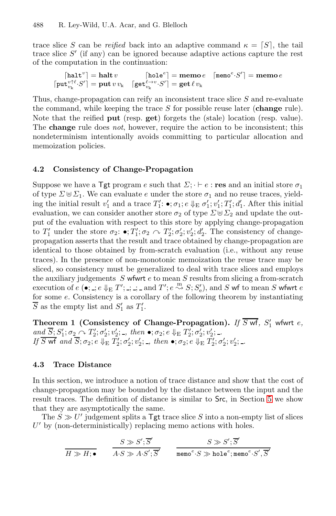trace slice S can be *reified* back into an adaptive command  $\kappa = \lfloor S \rfloor$ , the tail trace slice  $S'$  (if any) can be ignored because adaptive actions capture the rest of the computation in the continuation:

 $\begin{bmatrix} \text{halt}^v \end{bmatrix} = \text{halt} v \qquad \begin{bmatrix} \text{hole}^e \end{bmatrix} = \text{memo} \, e \quad \begin{bmatrix} \text{memo}^e \cdot S' \end{bmatrix} = \text{memo} \, e$  $\left[\text{put}_{v_{k}}^{v\uparrow\ell} \cdot S'\right] = \text{put } v v_{k} \quad \left[\text{get}_{v_{k}}^{\ell \to v} \cdot S'\right] = \text{get } \ell v_{k}$ 

Thus, change-propagation can reify an inconsistent trace slice  $S$  and re-evaluate the command, while keeping the trace S for possible reuse later (**change** rule). Note that the reified **put** (resp. **get**) forgets the (stale) location (resp. value). The **change** rule does *not*, however, require the action to be inconsistent; this nondeterminism intentionally avoids committing to particular allocation and memoization policies.

### **4.2 Consistency of Change-Propagation**

Suppose we have a Tgt program e such that  $\Sigma$ ;  $\vdash e$  : **res** and an initial store  $\sigma_1$ of type  $\Sigma \oplus \Sigma_1$ . We can evaluate e under the store  $\sigma_1$  and no reuse traces, yielding the initial result  $v'_1$  and a trace  $T'_1$ :  $\bullet$ ;  $\sigma_1$ ;  $e \Downarrow_E \sigma'_1$ ;  $v'_1$ ;  $T'_1$ ;  $d'_1$ . After this initial evaluation, we can consider another store  $\sigma_2$  of type  $\Sigma \uplus \Sigma_2$  and update the output of the evaluation with respect to this store by applying change-propagation to  $T'_1$  under the store  $\sigma_2$ :  $\bullet$ ;  $T'_1$ ;  $\sigma_2 \sim T'_2$ ;  $\sigma'_2$ ;  $v'_2$ ;  $d'_2$ . The consistency of changepropagation asserts that the result and trace obtained by change-propagation are identical to those obtained by from-scratch evaluation (i.e., without any reuse traces). In the presence of non-monotonic memoization the reuse trace may be sliced, so consistency must be generalized to deal with trace slices and employs the auxiliary judgements  $S$  wfwrt  $e$  to mean  $S$  results from slicing a from-scratch execution of  $e(\bullet; \cdot; e \Downarrow_{E} T'; \cdot; \cdot; \cdot)$  and  $T'; e \stackrel{m}{\leadsto} S; S'_{e}$ , and S wf to mean S wfwrt  $e$ for some e. Consistency is a corollary of the following theorem by instantiating S as the empty list and  $S'_1$  as  $T'_1$ .

<span id="page-12-0"></span>**Theorem 1 (Consistency of Change-Propa[ga](#page-14-0)tion).** *If* S wf,  $S'_1$  wfwrt e,  $and \ \overline{S}$ ;  $S'_1$ ;  $\sigma_2 \cap T'_2$ ;  $\sigma'_2$ ;  $v'_2$ ; *...* then  $\bullet$ ;  $\sigma_2$ ;  $e \Downarrow_{\mathbb{E}} T'_2$ ;  $\sigma'_2$ ;  $v'_2$ ; *... If S* wf *and*  $S; \sigma_2; e \Downarrow_E T'_2; \sigma'_2; v'_2; \_,$  then  $\bullet; \sigma_2; e \Downarrow_E T'_2; \sigma'_2; v'_2; \_,$ 

### **4.3 Trace Distance**

In this section, we introduce a notion of trace distance and show that the cost of change-propagation may be bounded by the distance between the input and the result traces. The definition of distance is similar to Src, in Section 5 we show that they are asymptotically the same.

The  $S \gg U'$  judgement splits a  $\textsf{Tgt}$  trace slice S into a non-empty list of slices  $U'$  by (non-deterministically) replacing memo actions with holes.

$$
\overline{H \gg H; \bullet}
$$
\n
$$
S \gg S'; \overline{S}'
$$
\n
$$
A \cdot S \gg A \cdot S'; \overline{S}'
$$
\n
$$
\text{memo}^e \cdot S \gg \text{hole}^e; \text{memo}^e \cdot S', \overline{S}'
$$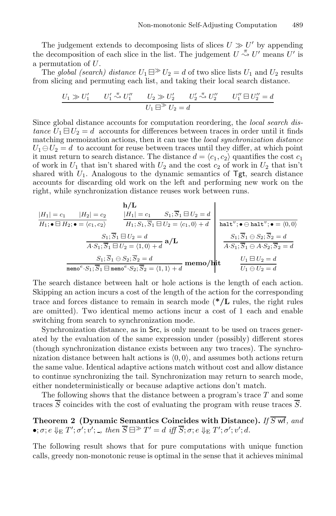The judgement extends to decomposing lists of slices  $U \gg U'$  by appending the decomposition of each slice in the list. The judgement  $U \stackrel{n}{\rightsquigarrow} U'$  means  $U'$  is a permutation of U.

The *global (search) distance*  $U_1 \boxminus V_2 = d$  of two slice lists  $U_1$  and  $U_2$  results from slicing and permuting each list, and taking their local search distance.

$$
\underbrace{U_1 \gg U_1'}_{U_1 \oplus V_1'} \quad \underbrace{U_1' \stackrel{\pi}{\leadsto} U_1''}_{U_1 \oplus V_2} \quad \underbrace{U_2' \stackrel{\pi}{\leadsto} U_2'' \stackrel{\pi}{\leadsto} U_2''}_{U_2 = d} \quad \underbrace{U_1'' \boxminus U_2'' = d}_{U_1 \oplus V_2' = d}
$$

Since global distance accounts for computation reordering, the *local search distance*  $U_1 \boxminus U_2 = d$  accounts for differences between traces in order until it finds matching memoization actions, then it can use the *local synchronization distance*  $U_1 \ominus U_2 = d$  to account for reuse between traces until they differ, at which point it must return to search distance. The distance  $d = \langle c_1, c_2 \rangle$  quantifies the cost  $c_1$ of work in  $U_1$  that isn't shared with  $U_2$  and the cost  $c_2$  of work in  $U_2$  that isn't shared with  $U_1$ . Analogous to the dynamic semantics of  $\mathsf{Tgt}$ , search distance accounts for discarding old work on the left and performing new work on the right, while synchronization distance reuses work between runs.

$$
\frac{|H_1| = c_1}{H_1; \bullet \boxminus H_2; \bullet = \langle c_1, c_2 \rangle} \qquad \frac{|H_1| = c_1}{H_1; S_1, \overline{S}_1 \boxminus U_2 = \langle c_1, 0 \rangle + d} \qquad \frac{S_1; \overline{S}_1 \boxminus U_2 = d}{\text{halt}^v; \bullet \ominus \text{halt}^v; \bullet = \langle 0, 0 \rangle}
$$
\n
$$
\frac{S_1; \overline{S}_1 \boxminus U_2 = d}{A \cdot S_1; \overline{S}_1 \boxminus U_2 = \langle 1, 0 \rangle + d} \text{ a/L}
$$
\n
$$
\frac{S_1; \overline{S}_1 \boxminus U_2 = d}{A \cdot S_1; \overline{S}_1 \ominus S_2; \overline{S}_2 = d} \qquad \frac{S_1; \overline{S}_1 \ominus S_2; \overline{S}_2 = d}{A \cdot S_1; \overline{S}_1 \ominus A \cdot S_2; \overline{S}_2 = d}
$$
\n
$$
\frac{S_1; \overline{S}_1 \ominus S_2; \overline{S}_2 = d}{\text{memo}^e \cdot S_1; \overline{S}_1 \ominus \text{meno}^e \cdot S_2; \overline{S}_2 = \langle 1, 1 \rangle + d} \text{memo/hit}
$$
\n
$$
\frac{U_1 \boxminus U_2 = d}{U_1 \ominus U_2 = d}
$$

The search distance between halt or hole actions is the length of each action. Skipping an action incurs a cost of the length of the action for the corresponding trace and forces distance to remain in search mode (**\*/L** rules, the right rules are omitted). Two identical memo actions incur a cost of 1 each and enable switching from search to synchronization mode.

Synchronization distance, as in Src, is only meant to be used on traces generated by the evaluation of the same expression under (possibly) different stores (though synchronization distance exists between any two traces). The synchronization distance between halt actions is  $(0, 0)$ , and assumes both actions return the same value. Identical adaptive actions match without cost and allow distance to continue synchronizing the tail. Synchronization may return to search mode, either nondeterministically or because adaptive actions don't match.

The following shows that the distance between a program's trace  $T$  and some traces  $\overline{S}$  coincides with the cost of evaluating the program with reuse traces  $\overline{S}$ .

**Theorem 2 (Dynamic Semantics Coincides with Distance).** *If* S wf*, and*  $\bullet; \sigma; e \Downarrow_{\mathbb{E}} T'; \sigma'; v';$ , then  $S \boxminus^{\gg} T' = d \text{ iff } S; \sigma; e \Downarrow_{\mathbb{E}} T'; \sigma'; v'; d.$ 

The following result shows that for pure computations with unique function calls, greedy non-monotonic reuse is optimal in the sense that it achieves minimal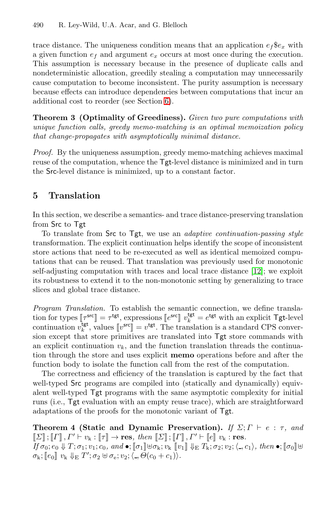trace distance. The uniqueness condition means that an application  $e_f$  $e_x$  with a given function  $e_f$  and argument  $e_x$  occurs at most once during the execution. This assumption is necessary because in the presence of duplicate calls and nondeterministic allocation, greedily stealing a computation may unnecessarily cause computation to become inconsistent. The purity assumption is necessary because effects can introduce dependencies between computations that incur an additional cost to reorder (see Section 6).

<span id="page-14-0"></span>**Theorem 3 (Optimality of Greediness).** *Given two pure computations with unique function calls, greedy memo-matching is an optimal memoization policy that change-propagates with asymptotically minimal distance.*

*Proof.* By the uniqueness assumption, greedy memo-matching achieves maximal reuse of the computation, whence the Tgt-level distance is minimized and in turn the Src-level distance is minimized, up to a constant factor.

## **5 Translation**

In this section, we describe a semantics- and trace distance-preserving translation from Src to Tgt

To translate from Src to Tgt, we use an *adaptive continuation-passing style* transformation. The explicit continuation helps identify the scope of inconsistent store actions that need to be re-executed as well as identical memoized computations that can be reused. That translation was previously used for monotonic self-adjusting computation with traces and local trace distance [12]; we exploit its robustness to extend it to the non-monotonic setting by generalizing to trace slices and global trace distance.

*Program Translation.* To establish the semantic connection, we define translation for types  $[\tau^{\text{src}}] = \tau^{\text{tgt}}$ , expressions  $[e^{\text{src}}] v_k^{\text{tgt}} = e^{\text{tgt}}$  with an explicit Tgt-level<br>continuation  $v_k^{\text{tgt}}$ , values  $[v^{\text{src}}] = v^{\text{tgt}}$ . The translation is a standard CPS conver-<br>sion except that store p sion except that store primitives are translated into Tgt store commands with an explicit continuation  $v_k$ , and the function translation threads the continuation through the store and uses explicit **memo** operations before and after the function body to isolate the function call from the rest of the computation.

The correctness and efficiency of the translation is captured by the fact that well-typed Src programs are compiled into (statically and dynamically) equivalent well-typed Tgt programs with the same asymptotic complexity for initial runs (i.e., Tgt evaluation with an empty reuse trace), which are straightforward adaptations of the proofs for the monotonic variant of Tgt.

**Theorem 4 (Static and Dynamic Preservation).** *If*  $\Sigma; \Gamma \vdash e : \tau$ , and  $\llbracket \Sigma \rrbracket$ ;  $\llbracket \Gamma \rrbracket$ ,  $\Gamma' \vdash v_{\mathbf{k}} : \llbracket \tau \rrbracket \rightarrow \textbf{res}, \text{ then } \llbracket \Sigma \rrbracket$ ;  $\llbracket \Gamma \rrbracket$ ,  $\Gamma' \vdash \llbracket e \rrbracket$   $v_{\mathbf{k}} : \textbf{res}.$  $If \sigma_0: e_0 \Downarrow T; \sigma_1; v_1; c_0, \text{ and } \bullet; [\![\sigma_1]\!] \uplus \sigma_k; v_k [\![v_1]\!] \Downarrow_E T_k; \sigma_2; v_2; \langle \_, c_1 \rangle, \text{ then } \bullet; [\![\sigma_0]\!] \uplus$  $\sigma_{\mathbf{k}}$ ;  $\llbracket e_0 \rrbracket v_{\mathbf{k}} \Downarrow_{\mathbf{E}} T'; \sigma_2 \uplus \sigma_{\mathbf{e}}$ ;  $v_2$ ;  $\langle \mathbf{I}, \Theta(c_0+c_1) \rangle$ .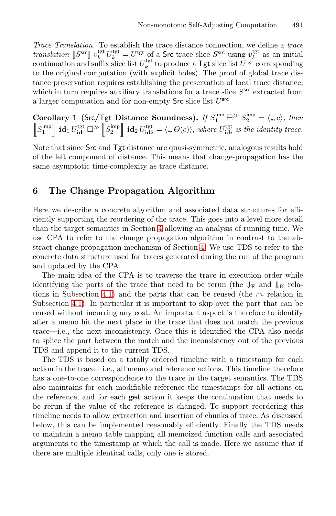<span id="page-15-1"></span>*Trace Translation.* To establish the trace distance connection, we define a *trace translation*  $\begin{bmatrix} S^{\text{src}} \end{bmatrix} v_k^{\text{tgt}} U_k^{\text{tgt}} = U^{\text{tgt}}$  of a Src trace slice  $S^{\text{src}}$  using  $v_k^{\text{tgt}}$  as an initial continuation and suffix slice list  $U^{\text{tgt}}$  to produce a Tgt slice list  $U^{\text{tgt}}$  corresponding to to the original computation (with explicit holes). The proof of global trace distance preservation requires establishing the preservation of local trace distance, which in turn requires auxiliary translations for a trace slice  $S<sup>src</sup>$  extracted from a larger computation and for non-empty  $S_{rc}$  slice list  $U^{src}$ .

<span id="page-15-0"></span>**Corollary 1** (Src/Tgt Distance Soundness). If  $S_1^{\text{imp}} \boxminus^{\text{sup}} S_2^{\text{imp}} = \langle -, c \rangle$ , then  $S_1^{\text{imp}}$ ⊥<br>⊤  $\mathbf{id}_1 \, U_{\mathbf{id} 1}^{\text{tgt}} \boxminus^{\text{def}}$ 닢  $S_2^{\text{imp}}$ µ<br>⊤  $\mathbf{i}\mathbf{d}_2 U_{\mathbf{i}\mathbf{d}2}^{\mathbf{tgt}} = \langle \mathbf{a}, \Theta(c) \rangle$ , where  $U_{\mathbf{i}\mathbf{d}i}^{\mathbf{tgt}}$  *is the identity trace.* 

Note that since Src and Tgt distance are quasi-symmetric, analogous results hold of the left compo[ne](#page-9-0)nt of distance. This means that change-propagation has the same asymptotic time-complexity as trace distance.

# **6 The Change Propagation Algorithm**

Here we describe a concrete algorithm and associated data structures for effic[ient](#page-10-0)ly supporting the reordering of the trace. This goes into a level more detail than the target semantics in Section 4 allowing an analysis of running time. We use CPA to refer to the change propagation algorithm in contrast to the abstract change propagation mechanism of Section 4. We use TDS to refer to the concrete data structure used for traces generated during the run of the program and updated by the CPA.

The main idea of the CPA is to traverse the trace in execution order while identifying the parts of the trace that need to be rerun (the  $\Downarrow_{\rm E}$  and  $\Downarrow_{\rm K}$  relations in Subsection 4.1) and the parts that can be reused (the  $\sim$  relation in Subsection 4.1). In particular it is important to skip over the part that can be reused without incurring any cost. An important aspect is therefore to identify after a memo hit the next place in the trace that does not match the previous trace—i.e., the next inconsistency. Once this is identified the CPA also needs to splice the part between the match and the inconsistency out of the previous TDS and append it to the current TDS.

The TDS is based on a totally ordered timeline with a timestamp for each action in the trace—i.e., all memo and reference actions. This timeline therefore has a one-to-one correspondence to the trace in the target semantics. The TDS also maintains for each modifiable reference the timestamps for all actions on the reference, and for each **get** action it keeps the continuation that needs to be rerun if the value of the reference is changed. To support reordering this timeline needs to allow extraction and insertion of chunks of trace. As discussed below, this can be implemented reasonably efficiently. Finally the TDS needs to maintain a memo table mapping all memoized function calls and associated arguments to the timestamp at which the call is made. Here we assume that if there are multiple identical calls, only one is stored.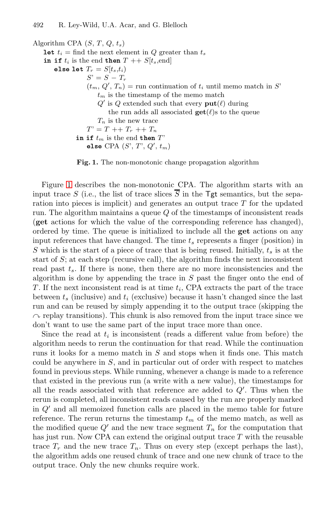Algorithm CPA  $(S, T, Q, t_s)$ **let**  $t_i$  = find the next element in  $Q$  greater than  $t_s$ in if  $t_i$  is the end then  $T + S[t_s, end]$ else let  $T_r = S[t_s,t_i)$  $S' = S - T_r$  $(t_m, Q', T_n)$  = run continuation of  $t_i$  until memo match in S'  $t_m$  is the timestamp of the memo match  $Q'$  is Q extended such that every  $\text{put}(\ell)$  during the run adds all associated  $\text{get}(\ell)$ s to the queue  $T_n$  is the new trace  $T' = T + T_r + T_n$ in if  $t_m$  is the end then  $T'$ else CPA  $(S', T', Q', t_m)$ 

**Fig. 1.** The non-monotonic change propagation algorithm

Figure 1 describes the non-monotonic CPA. The algorithm starts with an input trace S (i.e., the list of trace slices  $\overline{S}$  in the Tgt semantics, but the separation into pieces is implicit) and generates an output trace T for the updated run. The algorithm maintains a queue  $Q$  of the timestamps of inconsistent reads (**get** actions for which the value of the corresponding reference has changed), ordered by time. The queue is initialized to include all the **get** actions on any input references that have changed. The time  $t_s$  represents a finger (position) in S which is the start of a piece of trace that is being reused. Initially,  $t_s$  is at the start of  $S$ ; at each step (recursive call), the algorithm finds the next inconsistent read past  $t_s$ . If there is none, then there are no more inconsistencies and the algorithm is done by appending the trace in  $S$  past the finger onto the end of T. If the next inconsistent read is at time  $t_i$ , CPA extracts the part of the trace between  $t_s$  (inclusive) and  $t_i$  (exclusive) because it hasn't changed since the last run and can be reused by simply appending it to the output trace (skipping the  $\sim$  replay transitions). This chunk is also removed from the input trace since we don't want to use the same part of the input trace more than once.

Since the read at  $t_i$  is inconsistent (reads a different value from before) the algorithm needs to rerun the continuation for that read. While the continuation runs it looks for a memo match in S and stops when it finds one. This match could be anywhere in  $S$ , and in particular out of order with respect to matches found in previous steps. While running, whenever a change is made to a reference that existed in the previous run (a write with a new value), the timestamps for all the reads associated with that reference are added to  $Q'$ . Thus when the rerun is completed, all inconsistent reads caused by the run are properly marked in  $Q'$  and all memoized function calls are placed in the memo table for future reference. The rerun returns the timestamp  $t_m$  of the memo match, as well as the modified queue  $Q'$  and the new trace segment  $T_n$  for the computation that has just nur Now CDA can extend the original output trace  $T$  with the newshall has just run. Now CPA can extend the original output trace  $T$  with the reusable trace  $T_r$  and the new trace  $T_n$ . Thus on every step (except perhaps the last), the algorithm adds one reused chunk of trace and one new chunk of trace to the output trace. Only the new chunks require work.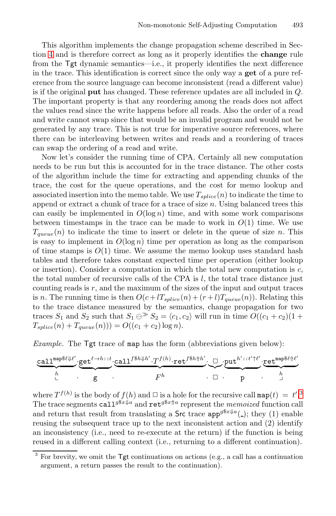This algorithm implements the change propagation scheme described in Section 4 and is therefore correct as long as it properly identifies the **change** rule from the Tgt dynamic semantics—i.e., it properly identifies the next difference in the trace. This identification is correct since the only way a **get** of a pure reference from the source language can become inconsistent (read a different value) is if the original **put** has changed. These reference updates are all included in Q. The important property is that any reordering among the reads does not affect the values read since the write happens before all reads. Also the order of a read and write cannot swap since that would be an invalid program and would not be generated by any trace. This is not true for imperative source references, where there can be interleaving between writes and reads and a reordering of traces can swap the ordering of a read and write.

Now let's consider the running time of CPA. Certainly all new computation needs to be run but this is accounted for in the trace distance. The other costs of the algorithm include the time for extracting and appending chunks of the trace, the cost for the queue operations, and the cost for memo lookup and associated insertion into the memo table. We use  $T_{splice}(n)$  to indicate the time to append or extract a chunk of trace for a trace of size n. Using balanced trees this can easily be implemented in  $O(\log n)$  time, and with some work comparisons between timestamps in the trace can be made to work in  $O(1)$  time. We use  $T_{queue}(n)$  to indicate the time to insert or delete in the queue of size n. This is easy to implement in  $O(\log n)$  time per operation as long as the comparison of time stamps is  $O(1)$  time. We assume the memo lookup uses standard hash tables and therefore takes constant expected time per operation (either lookup or insertion). Consider a computation in which the total new computation is  $c$ , the total number of recursive calls of the CPA is  $l$ , the total trace distance just counting reads is  $r$ , and the maximum of the sizes of the input and output traces is n. The running time is then  $O(c + lT_{splice}(n) + (r + l)T_{queue}(n))$ . Relating this to the trace distance measured by the semantics, change propagation for two traces  $S_1$  and  $S_2$  such that  $S_1 \ominus^{\gg} S_2 = \langle c_1, c_2 \rangle$  will run in [tim](#page-17-0)e  $O((c_1 + c_2)(1 +$  $T_{splice}(n) + T_{queue}(n)) = O((c_1 + c_2) \log n).$ 

*Example.* The **Tgt** trace of map has the form (abbreviations given below):

$$
\underbrace{\text{call}^{\text{map}\text{self}}\text{#}\text{get}^{\ell\rightarrow h::t}}_{\text{L}}\underbrace{\text{call}^{\text{f}\text{$f$h$}\text{#}h'}\cdot T^{\text{f}(h)}\cdot \text{ret}^{\text{f}\text{$h$}\text{#}h'}}_{F^h}\cdot \underbrace{\Box\cdot \text{put}^{h'::t'\uparrow\ell'}}_{p}\cdot \underbrace{\text{ret}^{\text{map}\text{f}\text{eff}\ell'}}_{\text{L}}
$$

<span id="page-17-0"></span>where  $T^{f(h)}$  is the body of  $f(h)$  and  $\Box$  is a hole for the recursive call  $\text{map}(t) = t'^{3}$ .<br>The trace segments call  $g^{s_x\mu_a}$  and  $\text{ref}^{s_x\mu_a}$  represent the *memoized* function call The trace segments call  $g^{\$x\downarrow a}$  and  $\text{ret}^{g\$x\uparrow a}$  represent the *memoized* function call and return that result from translating a Src trace  $app^{g\$x\psi_a}(\ )$ ; they (1) enable reusing the subsequent trace up to the next inconsistent action and (2) identify an inconsistency (i.e., need to re-execute at the return) if the function is being reused in a different calling context (i.e., returning to a different continuation).

<sup>3</sup> For brevity, we omit the Tgt continuations on actions (e.g., a call has a continuation argument, a return passes the result to the continuation).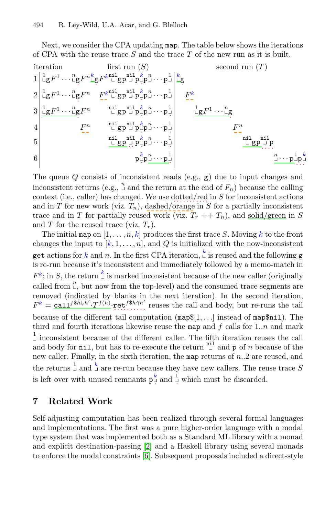Next, we consider the CPA updating map. The table below shows the iterations of CPA with the reuse trace  $S$  and the trace  $T$  of the new run as it is built.



The queue  $Q$  consists of inconsistent reads (e.g.,  $g$ ) due to input changes and inconsistent returns (e.g.,  $\frac{n}{n}$  and the return at the end of  $F_n$ ) because the calling<br>content (i.e., caller) has changed. We use detted (not in  $S$  for inconsistent estimate context (i.e., caller) has changed. We use  $\frac{ \text{dotted}}{\text{red}}$  in S for inconsistent actions and in T for new work (viz.  $T_n$ ), dashed/orange in S for a partially inconsistent trace and in T for partially reused work (viz.  $T_r + T_n$ ), and solid/green in S and T for the reused trace (viz.  $T_r$ ).

The initial map on  $[1, \ldots, n, k]$  produces the first trace S. Moving k to the front changes the input to  $[k, 1, \ldots, n]$ , and Q is initialized with the now-inconsistent get actions for k and n. In the first CPA iteration,  $\hat{\mathbb{L}}$  is reused and the following g is re-run because it's inconsistent and immediately followed by a memo-match in  $F^k$ ; in S, the return  $\hat{\mathbb{I}}$  is marked inconsistent because of the new caller (originally called from  $\mathring{\mathcal{L}}$ , but now from the top-level) and the consumed trace segments are removed (indicated by blanks in the next iteration). In the second iteration,  $F^k = \frac{\text{call} f^{\$h \Downarrow h'} \cdot Tf^{(h)}}{\text{curl} \cdot T}$  ret $f^{\$h \Uparrow h'}$  reuses the call and body, but re-runs the tail because of the different tail computation  $(\text{map$[1,...]}$  instead of  $\text{map$[ni1]}$ . The third and fourth iterations likewise reuse the map and  $f$  calls for 1..*n* and mark  $\frac{1}{4}$  inconsistent because of the different caller. The fifth iteration reuses the call and body for nil, but has to re-execute the return  $\frac{n+1}{n}$  and p of *n* because of the new caller. Finally, in the sixth iteration, the map returns of n..2 are reused, and the returns  $\frac{1}{\omega}$  and  $\frac{k}{\omega}$  are re-run because they have new callers. The reuse trace S is left over wi[th](#page-20-6) unused remnants  $\mathbf{p}^k$  and  $\frac{1}{k}$  which must be discarded.

### **7 Related Work**

Self-adjusting computation has been realized through several formal languages and implementations. The first was a pure higher-order language with a modal type system that was implemented both as a Standard ML library with a monad and explicit destination-passing [2] and a Haskell library using several monads to enforce the modal constraints [6]. Subsequent proposals included a direct-style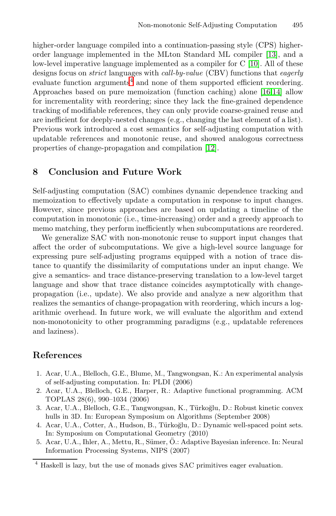higher-order language compiled into a continuation-passing style (CPS) higherorder language implemented in the MLton Standard ML compiler [13], and a low-level imperative language implemented as a compiler for C [10]. All of these designs focus on *strict* language[s wi](#page-20-4)th *call-by-value* (CBV) functions that *eagerly* evaluate function arguments<sup>4</sup> and none of them supported efficient reordering. Approaches based on pure memoization (function caching) alone [16,14] allow for incrementality with reordering; since they lack the fine-grained dependence tracking of modifiable references, they can only provide coarse-grained reuse and are inefficient for deeply-nested changes (e.g., changing the last element of a list). Previous work introduced a cost semantics for self-adjusting computation with updatable references and monotonic reuse, and showed analogous correctness properties of change-propagation and compilation [12].

# **8 Conclusion and Future Work**

Self-adjusting computation (SAC) combines dynamic dependence tracking and memoization to effectively update a computation in response to input changes. However, since previous approaches are based on updating a timeline of the computation in monotonic (i.e., time-increasing) order and a greedy approach to memo matching, they perform inefficiently when subcomputations are reordered.

We generalize SAC with non-monotonic reuse to support input changes that affect the order of subcomputations. We give a high-level source language for expressing pure self-adjusting programs equipped with a notion of trace distance to quantify the dissimilarity of computations under an input change. We give a semantics- and trace distance-preserving translation to a low-level target language and show that trace distance coincides asymptotically with changepropagation (i.e., update). We also provide and analyze a new algorithm that realizes the semantics of change-propagation with reordering, which incurs a logarithmic overhead. In future work, we will evaluate the algorithm and extend non-monotonicity to other programming paradigms (e.g., updatable references and laziness).

### <span id="page-19-1"></span><span id="page-19-0"></span>**References**

- 1. Acar, U.A., Blelloch, G.E., Blume, M., Tangwongsan, K.: An experimental analysis of self-adjusting computation. In: PLDI (2006)
- 2. Acar, U.A., Blelloch, G.E., Harper, R.: Adaptive functional programming. ACM TOPLAS 28(6), 990–1034 (2006)
- 3. Acar, U.A., Blelloch, G.E., Tangwongsan, K., Türkoğlu, D.: Robust kinetic convex hulls in 3D. In: European Symposium on Algorithms (September 2008)
- 4. Acar, U.A., Cotter, A., Hudson, B., Türkoğlu, D.: Dynamic well-spaced point sets. In: Symposium on Computational Geometry (2010)
- 5. Acar, U.A., Ihler, A., Mettu, R., Sümer, Ö.: Adaptive Bayesian inference. In: Neural Information Processing Systems, NIPS (2007)

<sup>4</sup> Haskell is lazy, but the use of monads gives SAC primitives eager evaluation.